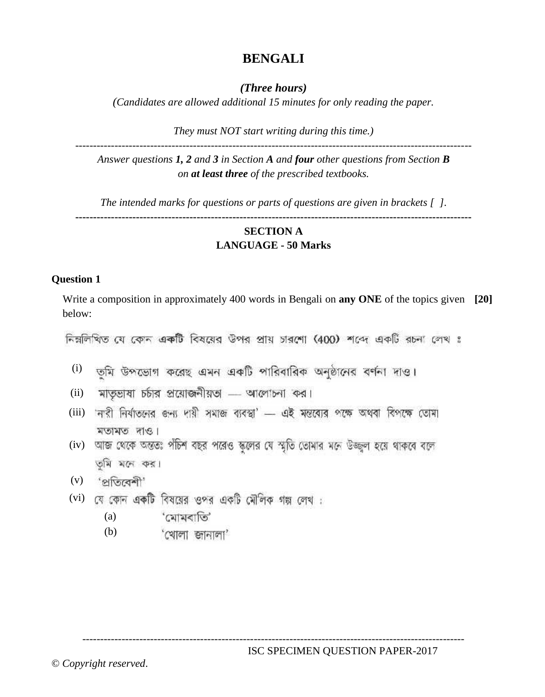# **BENGALI**

*(Three hours)*

*(Candidates are allowed additional 15 minutes for only reading the paper.*

*They must NOT start writing during this time.)*

--------------------------------------------------------------------------------------------------------------- *Answer questions 1, 2 and 3 in Section A and four other questions from Section B on at least three of the prescribed textbooks.*

*The intended marks for questions or parts of questions are given in brackets [ ].*

## **--------------------------------------------------------------------------------------------------------------- SECTION A LANGUAGE - 50 Marks**

## **Question 1**

Write a composition in approximately 400 words in Bengali on **any ONE** of the topics given **[20]** below:

নিম্নলিখিত যে কোন একটি বিষয়ের উপর প্রায় চারশো (400) শব্দে একটি রচনা লেখ ঃ

- <sup>(i)</sup> তুমি উপডোগ করেছ এমন একটি পারিবারিক অনুষ্ঠানের বর্ণনা দাও।
- (ii) মাতৃভাষা চৰ্চার প্রয়োজনীয়তা .... আলোচনা কর।
- (iii) নারী নির্যাতনের জন্য দায়ী সমাজ ব্যবস্থা' ... এই মন্তব্যের পক্ষে অথবা বিপক্ষে তোমা মতামত দাও।
- (iv) আজ থেকে অন্ততঃ পঁচিশ বছর পরেও স্কলের যে স্মৃতি তোমার মনে উজ্জ্বল হয়ে থাকবে বলে তমি মনে কর।
- (v) 'প্ৰতিবেশী'
- (vi) যে কোন একটি বিষয়ের ওপর একটি মৌলিক গল্প লেখ :
	- 'মোমবাতি' (a)
	- (b)'খোলা জানালা'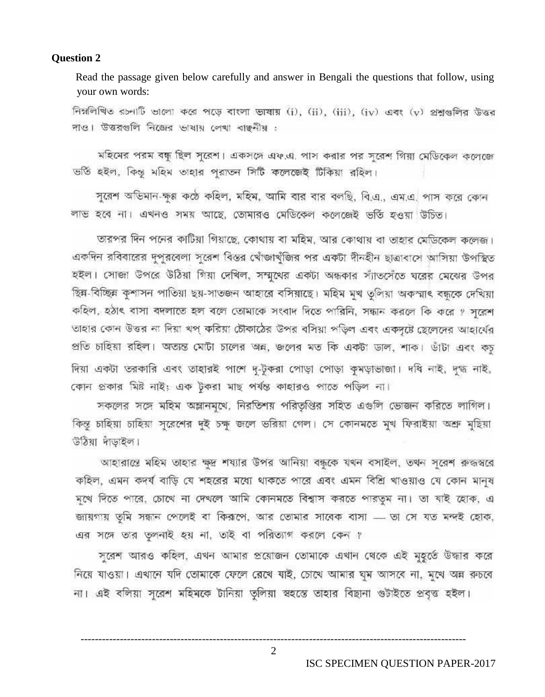#### **Question 2**

Read the passage given below carefully and answer in Bengali the questions that follow, using your own words:

নিম্নলিখিত রচনাটি ভালো করে পড়ে বাংলা ভাষায় (i), (ii), (iii), (iv) এবং (v) প্রশ্নগুলির উত্তর দাও। উত্তরগুলি নিজের ভাষায় লেখা বাঙ্গনীয় :

মহিমের পরম বন্ধু ছিল সূরেশ। একসঙ্গে এফ.এ. পাস করার পর সূরেশ গিয়া মেডিকেল কলেজে ভর্তি হইল, কিন্তু মহিম তাহার প্ররাতন সিটি কলেজেই টিকিয়া রহিল।

সুরেশ অভিমান-ক্ষুণ্ণ কণ্ঠে কহিল, মহিম, আমি বার বার বলছি, বি.এ., এম.এ. পাস করে কোন লাভ হবে না। এখনও সময় আছে, তোমারও মেডিকেল কলেজেই ভর্তি হওয়া উচিত।

তারপর দিন পনের কাটিয়া গিয়াছে, কোথায় বা মহিম, আর কোথায় বা তাহার মেডিকেল কলেজ। একদিন রবিবারের দৃপুরবেলা সূরেশ বিস্তর খোঁজাখঁজির পর একটা দীনহীন ছাত্রাবাসে আসিয়া উপস্থিত হইল। সোজা উপরে উঠিয়া গিয়া দেখিল, সম্মুথের একটা অন্ধকার স্যাতসেঁতে ঘরের মেঝের উপর ছিন্ন-বিচ্ছিন্ন কুশাসন পাতিয়া ছয়-সাতজন আহারে বসিয়াছে। মহিম মুখ তুলিয়া অকস্মাৎ বন্ধকে দেখিয়া কহিল, হঠাৎ বাসা বদলাতে হল বলে তোমাকে সংবাদ দিতে পারিনি, সন্ধান করলে কি করে ? সরেশ তাহার কোন উত্তর না দিয়া থপ্ করিয়া টোকাঠের উপর বসিয়া পড়িল এবং একদৃষ্টে ছেলেদের আহার্যের প্রতি চাহিয়া রহিল। অত্যন্ত মোটা চালের অন্ন, জলের মত কি একটা ভাল, শাক। ডাঁটা এবং কচ দিয়া একটা তরকারি এবং তাহারই পাশে দ-টকরা পোড়া পোড়া কমড়াভাজা। দধি নাই, দগ্ধ নাই, কোন প্রকার মিষ্ট নাই; এক টুকরা মাছ পর্যন্ত কাহারও পাতে পড়িল না।

সকলের সঙ্গে মহিম অম্লানমথে, নিরতিশয় পরিতৃপ্তির সহিত এগুলি ডোজন করিতে লাগিল। কিন্তু চাহিয়া চাহিয়া সূরেশের দুই চক্ষ জলে ভরিয়া গেল। সে কোনমতে মুখ ফিরাইয়া অশ্রু মুছিয়া উঠিয়া দাঁড়াইল।

আহারান্তে মহিম তাহার ক্ষুদ্র শয্যার উপর আনিয়া বন্ধুকে যথন বসাইল, তথন সূরেশ রুদ্ধস্বরে কহিল, এমন কদর্য বাড়ি যে শহরের মধ্যে থাকতে পারে এবং এমন বিশ্রি খাওয়াও যে কোন মানুষ মুখে দিতে পারে, চোখে না দেখলে আমি কোনমতে বিশ্বাস করতে পারতুম না। তা যাই হোক, এ জায়গায় তুমি সন্ধান পেলেই বা কিরপে, আর তোমার সাবেক বাসা ... তা সে যত মন্দই হোক, এর সঙ্গে তার তৃলনাই হয় না, তাই বা পরিত্যাগ করলে কেন ?

সুরেশ আরও কহিল, এখন আমার প্রয়োজন তোমাকে এখান থেকে এই মুহূর্তে উদ্ধার করে নিয়ে যাওয়া। এখানে যদি তোমাকে ফেলে রেখে যাই, চোথে আমার ঘুম আসবে না, মুখে অন্ন রুচবে না। এই বলিয়া সুরেশ মহিমকে টানিয়া তুলিয়া স্বহন্তে তাহার বিছানা গুটাইতে প্রবৃত্ত হইল।

ISC SPECIMEN QUESTION PAPER-2017

2

------------------------------------------------------------------------------------------------------------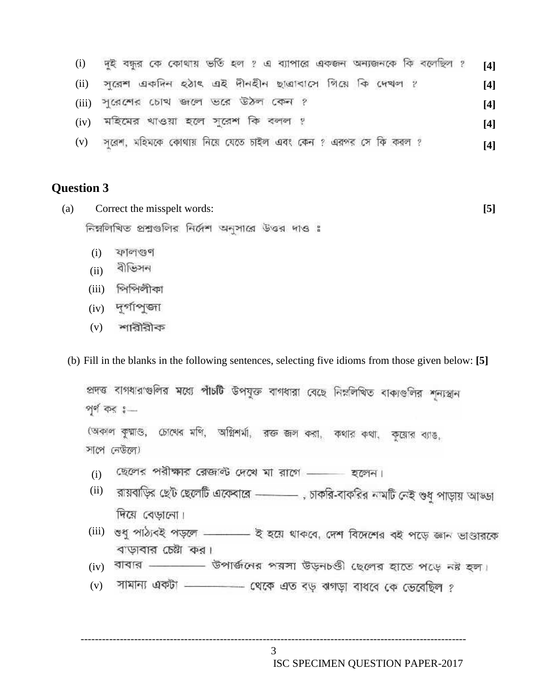| (i)  | দুই বন্ধুর কে কোথায় ভর্তি হল ? এ ব্যাপারে একজন অন্যজনকে কি বলেছিল ? | [4] |
|------|----------------------------------------------------------------------|-----|
| (ii) | সুরেশ একদিন হঠাৎ এই দীনহীন ছাত্রাবাসে গিয়ে কি দেখল ?                | [4] |
|      | (iii) পুরেশের চোথ জলে ভরে উঠল কেন ?                                  | [4] |
|      | $(iv)$ মহিমের থাওয়া হলে সুরেশ কি বলল ?                              | [4] |
|      | (v) সূরেশ, মহিমকে কোথায় নিয়ে যেতে চাইল এবং কেন ? এরপর সে কি করল ?  | [4] |

## **Question 3**

| (a) | Correct the misspelt words:                        |  |  |  |  |  |  |  |  |  |
|-----|----------------------------------------------------|--|--|--|--|--|--|--|--|--|
|     | নিম্নলিখিত প্রশ্নগুলির নির্দেশ অনুসারে উত্তর দাও ঃ |  |  |  |  |  |  |  |  |  |

- (i)
- (ii) বীভিসন
- (iii)
- (iv) দুর্গাপূজা
- (v) শারীরীক

(b) Fill in the blanks in the following sentences, selecting five idioms from those given below: **[5]**

প্রদত্ত বাগধারাগুলির মধ্যে পাঁচটি উপযুক্ত বাগধারা বেছে নিম্নলিখিত বাক্যগুলির শূন্যস্থান পূর্ণ কর :-(অকাল কুম্মাণ্ড, চোথের মণি, অগ্নিশর্মা, রক্ত জল করা, কথার কথা, কুয়োর ব্যাঙ, সাপে নেউলে) (i) ছেলের পরীক্ষার রেজন্ট দেথে মা রাগে –––– হলেন। <sup>(ii)</sup> রায়বাড়ির ছেট ছেলেটি এবেঙ্গারে –––––––––, চাকরি-বাকরির নামটি নেই গুধু পাড়ায় আড্ডা দিয়ে বেড়ালো। (iii) বাড়াবার চেষ্টা কর। (iv) বাবার - - - ভিপার্জনের পরসা উড়নbণ্ডী ছেলের হাতে পড়ে নষ্ট হল। সামান্য একটা - - - - থেকে এত বড় ঝগড়া বাধবে কে ভেবেছিল ? (v)

------------------------------------------------------------------------------------------------------------ 3

ISC SPECIMEN QUESTION PAPER-2017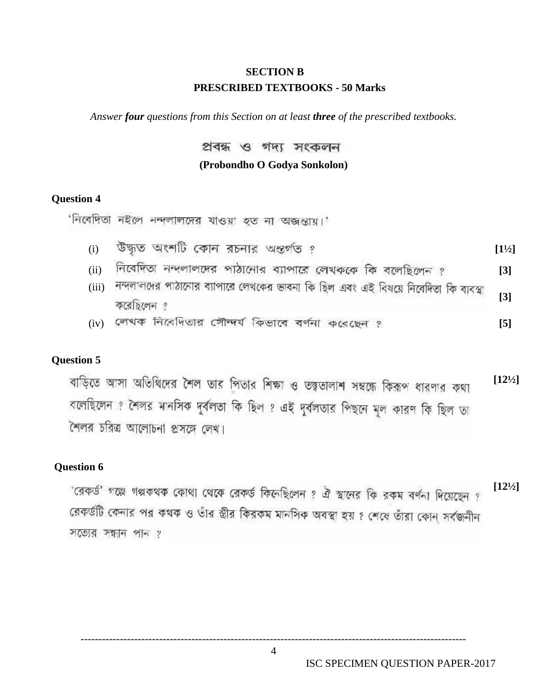## **SECTION B PRESCRIBED TEXTBOOKS - 50 Marks**

*Answer four questions from this Section on at least three of the prescribed textbooks.*

প্ৰবন্ধ ও গদ্য সংকলন

#### **(Probondho O Godya Sonkolon)**

### **Question 4**

'নিবেদিতা নইলে নন্দলালদের যাওয়া হত না অজন্তায়।'

- (i) **[1½]**
- (ii) নিবেদিতা নন্দলালদের পাঠানোর ব্যাপারে লেখককে কি বলেছিলেন <u>?</u> (3)
- (iii) নন্দলালদের পাঠালোর ব্যাপারে লেখকের ভাবনা কি ছিল এবং এই বিষয়ে নিবেদিতা কি ব্যবস্থা **[3]** করেচিলেন গ
- (iv) **[5]**

## **Question 5**

বাড়িতে আসা অতিথিদের শৈল তার পিতার শিক্ষা ও তত্ত্বতালাশ সম্বন্ধে কিরূপ ধারণার কথা **[12½]** বলেছিলেন ? শৈলর মানসিক দুর্বলতা কি ছিল ? এই দুর্বলতার পিছনে মূল কারণ কি ছিল তা শৈলর চরিত্র আলোচনা প্রসঙ্গে লেখ।

## **Question 6**

**[12½]**

'রেকর্ড' গল্পে গল্পকথক কোথা থেকে রেকর্ড কিনেছিলেন ? ঐ স্থানের কি রকম বর্ণনা দিয়েছেন ? রেকর্ডটি কেনার পর কথক ও তাঁর স্তীর কিরকম মানসিক অবস্থা হয় ? শেষে তাঁরা কোন্ সর্বজনীন সত্যের সন্ধান পান ?

4

------------------------------------------------------------------------------------------------------------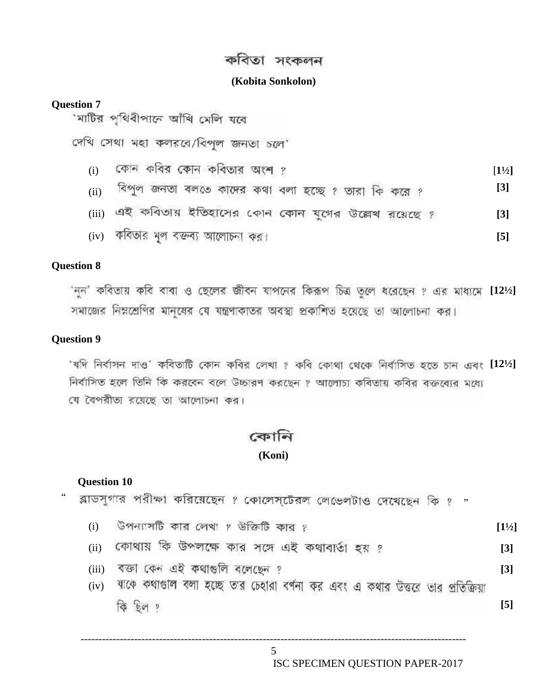## কবিতা সংকলন

#### **(Kobita Sonkolon)**

#### **Question 7**

'মাটির পৃথিবীপানে আঁথি মেলি যবে

দেখি সেথা মহা কলরবে/বিপল জনতা চলে'

- (i) **[1½]**
- (ii) <sup>বিপু</sup>ণ জনতা বলতে কাদের কথা বলা হচ্ছে ? তারা কি করে ? (3)
- (iii) এই কবিতার ইতিহাসের কোন কোন যুগের উল্লেখ রয়েছে ? **[3]**
- (iv) **[5]**

#### **Question 8**

'নূন' কবিতায় কবি বাবা ও ছেলের জীবন যাপনের কিরূপ চিত্র তলে ধরেছেন ? এর মাধ্যমে [12<sup>1</sup>/2] সমাজের নিম্নশ্রেণির মানুষের যে যন্ত্রণাকাতর অবস্থা প্রকাশিত হয়েছে তা আলোচনা কর।

### **Question 9**

'যদি নিৰ্বাসন দাও' কবিতাটি কোন কবির লেখা ? কবি কোথা থেকে নিৰ্বাসিত হতে চান এবং [12<sup>1</sup>/2] নির্বাসিত হলে তিনি কি করবেন বলে উচ্চারণ করছেন ? আলোচ্য কবিতায় কবির বক্তব্যের মধ্যে যে বৈপরীতা রয়েছে তা আলোচনা কর।

## কোনি

#### **(Koni)**

#### **Question 10**

" রাডসুগার পরীক্ষা করিয়েছেন ? কোলেস্টেরল লেডেলটাও দেখেছেন কি ? "

- (i) **[1½]**
- (ii) **[3]**
- (iii) **[3]**
- (iv) যাকে কথাগুলি বলা হচ্ছে তার চেহারা বর্ণনা কর এবং এ কথার উত্তরে তার প্রতিক্রিয়া কি ছিল ?

**[5]**

------------------------------------------------------------------------------------------------------------ 5 ISC SPECIMEN QUESTION PAPER-2017